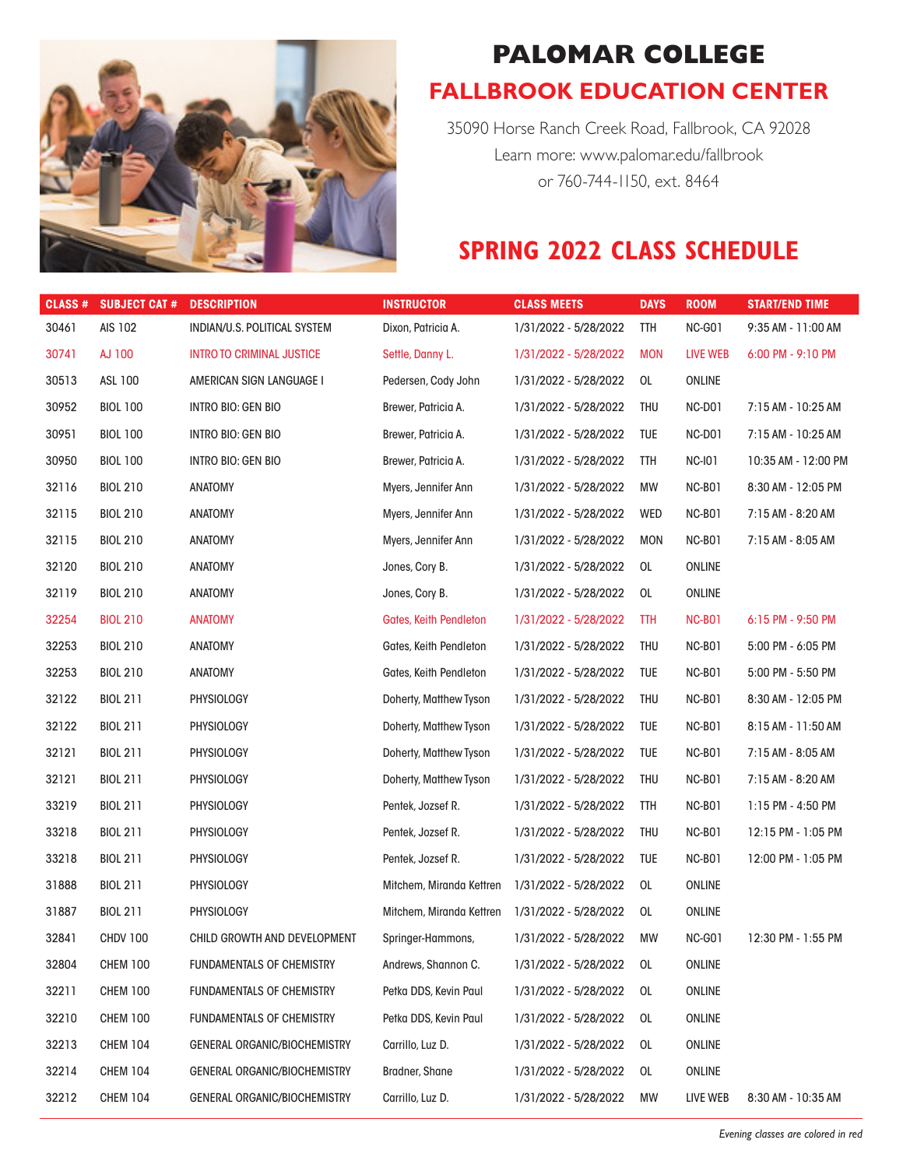

## **PALOMAR COLLEGE FALLBROOK EDUCATION CENTER**

35090 Horse Ranch Creek Road, Fallbrook, CA 92028 Learn more: www.palomar.edu/fallbrook or 760-744-1150, ext. 8464

## **SPRING 2022 CLASS SCHEDULE**

| CLASS # | <b>SUBJECT CAT #</b> | <b>DESCRIPTION</b>                  | <b>INSTRUCTOR</b>        | <b>CLASS MEETS</b>    | <b>DAYS</b> | <b>ROOM</b>        | <b>START/END TIME</b> |
|---------|----------------------|-------------------------------------|--------------------------|-----------------------|-------------|--------------------|-----------------------|
| 30461   | AIS 102              | INDIAN/U.S. POLITICAL SYSTEM        | Dixon, Patricia A.       | 1/31/2022 - 5/28/2022 | TTH         | NC-GO1             | 9:35 AM - 11:00 AM    |
| 30741   | AJ 100               | <b>INTRO TO CRIMINAL JUSTICE</b>    | Settle, Danny L.         | 1/31/2022 - 5/28/2022 | <b>MON</b>  | LIVE WEB           | 6:00 PM - 9:10 PM     |
| 30513   | ASL 100              | AMERICAN SIGN LANGUAGE I            | Pedersen, Cody John      | 1/31/2022 - 5/28/2022 | 0L          | <b>ONLINE</b>      |                       |
| 30952   | <b>BIOL 100</b>      | INTRO BIO: GEN BIO                  | Brewer, Patricia A.      | 1/31/2022 - 5/28/2022 | THU         | NC-D01             | 7:15 AM - 10:25 AM    |
| 30951   | <b>BIOL 100</b>      | INTRO BIO: GEN BIO                  | Brewer, Patricia A.      | 1/31/2022 - 5/28/2022 | TUE         | NC-D01             | 7:15 AM - 10:25 AM    |
| 30950   | <b>BIOL 100</b>      | INTRO BIO: GEN BIO                  | Brewer, Patricia A.      | 1/31/2022 - 5/28/2022 | TTH         | <b>NC-I01</b>      | 10:35 AM - 12:00 PM   |
| 32116   | <b>BIOL 210</b>      | <b>ANATOMY</b>                      | Myers, Jennifer Ann      | 1/31/2022 - 5/28/2022 | МW          | NC-BO <sub>1</sub> | 8:30 AM - 12:05 PM    |
| 32115   | <b>BIOL 210</b>      | <b>ANATOMY</b>                      | Myers, Jennifer Ann      | 1/31/2022 - 5/28/2022 | WED         | NC-B01             | 7:15 AM - 8:20 AM     |
| 32115   | <b>BIOL 210</b>      | <b>ANATOMY</b>                      | Myers, Jennifer Ann      | 1/31/2022 - 5/28/2022 | <b>MON</b>  | NC-B01             | 7:15 AM - 8:05 AM     |
| 32120   | <b>BIOL 210</b>      | <b>ANATOMY</b>                      | Jones, Cory B.           | 1/31/2022 - 5/28/2022 | 0L          | <b>ONLINE</b>      |                       |
| 32119   | <b>BIOL 210</b>      | <b>ANATOMY</b>                      | Jones, Cory B.           | 1/31/2022 - 5/28/2022 | 0L          | <b>ONLINE</b>      |                       |
| 32254   | <b>BIOL 210</b>      | <b>ANATOMY</b>                      | Gates, Keith Pendleton   | 1/31/2022 - 5/28/2022 | TTH         | <b>NC-B01</b>      | $6:15$ PM - 9:50 PM   |
| 32253   | <b>BIOL 210</b>      | <b>ANATOMY</b>                      | Gates, Keith Pendleton   | 1/31/2022 - 5/28/2022 | THU         | NC-BO <sub>1</sub> | 5:00 PM - 6:05 PM     |
| 32253   | <b>BIOL 210</b>      | <b>ANATOMY</b>                      | Gates, Keith Pendleton   | 1/31/2022 - 5/28/2022 | TUE         | NC-B01             | 5:00 PM - 5:50 PM     |
| 32122   | <b>BIOL 211</b>      | <b>PHYSIOLOGY</b>                   | Doherty, Matthew Tyson   | 1/31/2022 - 5/28/2022 | THU         | NC-B01             | 8:30 AM - 12:05 PM    |
| 32122   | <b>BIOL 211</b>      | <b>PHYSIOLOGY</b>                   | Doherty, Matthew Tyson   | 1/31/2022 - 5/28/2022 | TUE         | NC-B01             | 8:15 AM - 11:50 AM    |
| 32121   | <b>BIOL 211</b>      | <b>PHYSIOLOGY</b>                   | Doherty, Matthew Tyson   | 1/31/2022 - 5/28/2022 | TUE         | NC-B01             | 7:15 AM - 8:05 AM     |
| 32121   | <b>BIOL 211</b>      | <b>PHYSIOLOGY</b>                   | Doherty, Matthew Tyson   | 1/31/2022 - 5/28/2022 | THU         | NC-B01             | 7:15 AM - 8:20 AM     |
| 33219   | <b>BIOL 211</b>      | <b>PHYSIOLOGY</b>                   | Pentek, Jozsef R.        | 1/31/2022 - 5/28/2022 | TTH         | NC-B01             | 1:15 PM - 4:50 PM     |
| 33218   | <b>BIOL 211</b>      | <b>PHYSIOLOGY</b>                   | Pentek, Jozsef R.        | 1/31/2022 - 5/28/2022 | THU         | NC-B01             | 12:15 PM - 1:05 PM    |
| 33218   | <b>BIOL 211</b>      | PHYSIOLOGY                          | Pentek, Jozsef R.        | 1/31/2022 - 5/28/2022 | TUE         | NC-B01             | 12:00 PM - 1:05 PM    |
| 31888   | <b>BIOL 211</b>      | <b>PHYSIOLOGY</b>                   | Mitchem, Miranda Kettren | 1/31/2022 - 5/28/2022 | 0L          | ONLINE             |                       |
| 31887   | <b>BIOL 211</b>      | <b>PHYSIOLOGY</b>                   | Mitchem, Miranda Kettren | 1/31/2022 - 5/28/2022 | 0L          | <b>ONLINE</b>      |                       |
| 32841   | <b>CHDV 100</b>      | CHILD GROWTH AND DEVELOPMENT        | Springer-Hammons,        | 1/31/2022 - 5/28/2022 | MW          | NC-GO1             | 12:30 PM - 1:55 PM    |
| 32804   | <b>CHEM 100</b>      | <b>FUNDAMENTALS OF CHEMISTRY</b>    | Andrews, Shannon C.      | 1/31/2022 - 5/28/2022 | 0L          | <b>ONLINE</b>      |                       |
| 32211   | <b>CHEM 100</b>      | <b>FUNDAMENTALS OF CHEMISTRY</b>    | Petka DDS, Kevin Paul    | 1/31/2022 - 5/28/2022 | 0L          | <b>ONLINE</b>      |                       |
| 32210   | <b>CHEM 100</b>      | <b>FUNDAMENTALS OF CHEMISTRY</b>    | Petka DDS, Kevin Paul    | 1/31/2022 - 5/28/2022 | 0L          | <b>ONLINE</b>      |                       |
| 32213   | <b>CHEM 104</b>      | <b>GENERAL ORGANIC/BIOCHEMISTRY</b> | Carrillo, Luz D.         | 1/31/2022 - 5/28/2022 | 0L          | <b>ONLINE</b>      |                       |
| 32214   | <b>CHEM 104</b>      | <b>GENERAL ORGANIC/BIOCHEMISTRY</b> | Bradner, Shane           | 1/31/2022 - 5/28/2022 | 0L          | <b>ONLINE</b>      |                       |
| 32212   | <b>CHEM 104</b>      | <b>GENERAL ORGANIC/BIOCHEMISTRY</b> | Carrillo, Luz D.         | 1/31/2022 - 5/28/2022 | MW          | LIVE WEB           | 8:30 AM - 10:35 AM    |